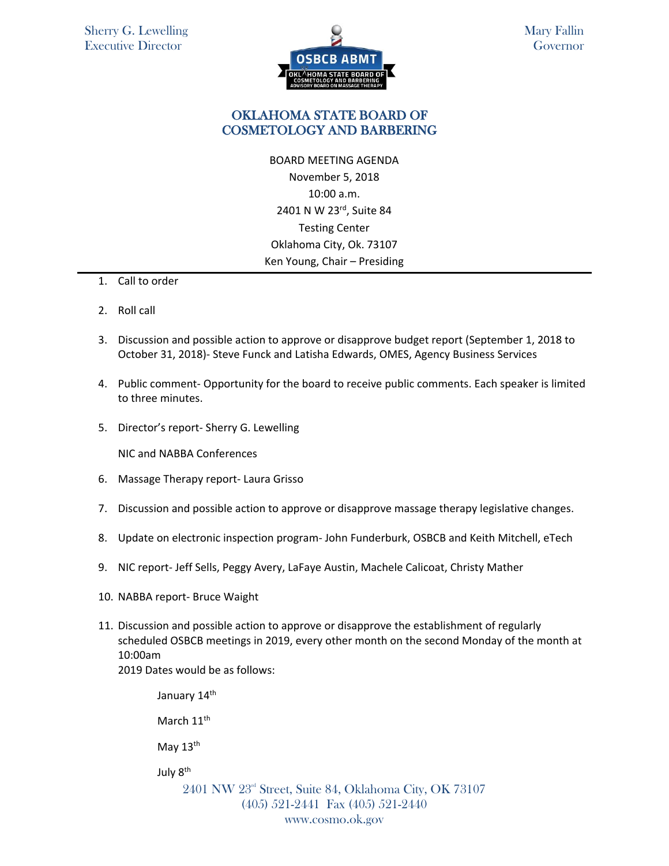

## OKLAHOMA STATE BOARD OF COSMETOLOGY AND BARBERING

BOARD MEETING AGENDA November 5, 2018 10:00 a.m. 2401 N W 23rd, Suite 84 Testing Center Oklahoma City, Ok. 73107 Ken Young, Chair – Presiding

- 1. Call to order
- 2. Roll call
- 3. Discussion and possible action to approve or disapprove budget report (September 1, 2018 to October 31, 2018)- Steve Funck and Latisha Edwards, OMES, Agency Business Services
- 4. Public comment- Opportunity for the board to receive public comments. Each speaker is limited to three minutes.
- 5. Director's report- Sherry G. Lewelling

NIC and NABBA Conferences

- 6. Massage Therapy report- Laura Grisso
- 7. Discussion and possible action to approve or disapprove massage therapy legislative changes.
- 8. Update on electronic inspection program- John Funderburk, OSBCB and Keith Mitchell, eTech
- 9. NIC report- Jeff Sells, Peggy Avery, LaFaye Austin, Machele Calicoat, Christy Mather
- 10. NABBA report- Bruce Waight
- 11. Discussion and possible action to approve or disapprove the establishment of regularly scheduled OSBCB meetings in 2019, every other month on the second Monday of the month at 10:00am

2019 Dates would be as follows:

2401 NW 23rd Street, Suite 84, Oklahoma City, OK 73107 (405) 521-2441 Fax (405) 521-2440 January 14<sup>th</sup> March 11<sup>th</sup> May 13<sup>th</sup> July 8th

www.cosmo.ok.gov